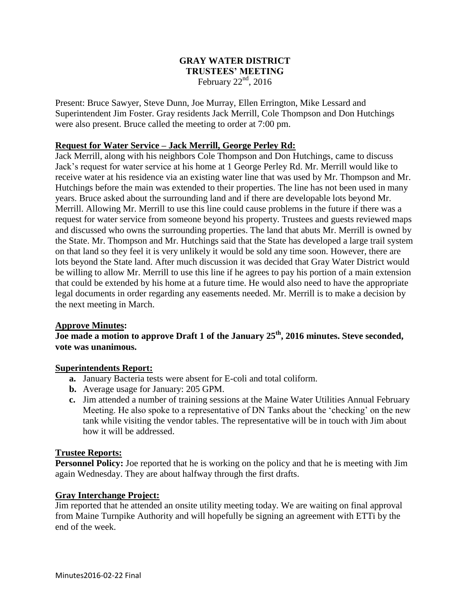### **GRAY WATER DISTRICT TRUSTEES' MEETING** February  $22<sup>nd</sup>$ , 2016

Present: Bruce Sawyer, Steve Dunn, Joe Murray, Ellen Errington, Mike Lessard and Superintendent Jim Foster. Gray residents Jack Merrill, Cole Thompson and Don Hutchings were also present. Bruce called the meeting to order at 7:00 pm.

### **Request for Water Service – Jack Merrill, George Perley Rd:**

Jack Merrill, along with his neighbors Cole Thompson and Don Hutchings, came to discuss Jack's request for water service at his home at 1 George Perley Rd. Mr. Merrill would like to receive water at his residence via an existing water line that was used by Mr. Thompson and Mr. Hutchings before the main was extended to their properties. The line has not been used in many years. Bruce asked about the surrounding land and if there are developable lots beyond Mr. Merrill. Allowing Mr. Merrill to use this line could cause problems in the future if there was a request for water service from someone beyond his property. Trustees and guests reviewed maps and discussed who owns the surrounding properties. The land that abuts Mr. Merrill is owned by the State. Mr. Thompson and Mr. Hutchings said that the State has developed a large trail system on that land so they feel it is very unlikely it would be sold any time soon. However, there are lots beyond the State land. After much discussion it was decided that Gray Water District would be willing to allow Mr. Merrill to use this line if he agrees to pay his portion of a main extension that could be extended by his home at a future time. He would also need to have the appropriate legal documents in order regarding any easements needed. Mr. Merrill is to make a decision by the next meeting in March.

### **Approve Minutes:**

**Joe made a motion to approve Draft 1 of the January 25th, 2016 minutes. Steve seconded, vote was unanimous.**

### **Superintendents Report:**

- **a.** January Bacteria tests were absent for E-coli and total coliform.
- **b.** Average usage for January: 205 GPM.
- **c.** Jim attended a number of training sessions at the Maine Water Utilities Annual February Meeting. He also spoke to a representative of DN Tanks about the 'checking' on the new tank while visiting the vendor tables. The representative will be in touch with Jim about how it will be addressed.

### **Trustee Reports:**

**Personnel Policy:** Joe reported that he is working on the policy and that he is meeting with Jim again Wednesday. They are about halfway through the first drafts.

### **Gray Interchange Project:**

Jim reported that he attended an onsite utility meeting today. We are waiting on final approval from Maine Turnpike Authority and will hopefully be signing an agreement with ETTi by the end of the week.